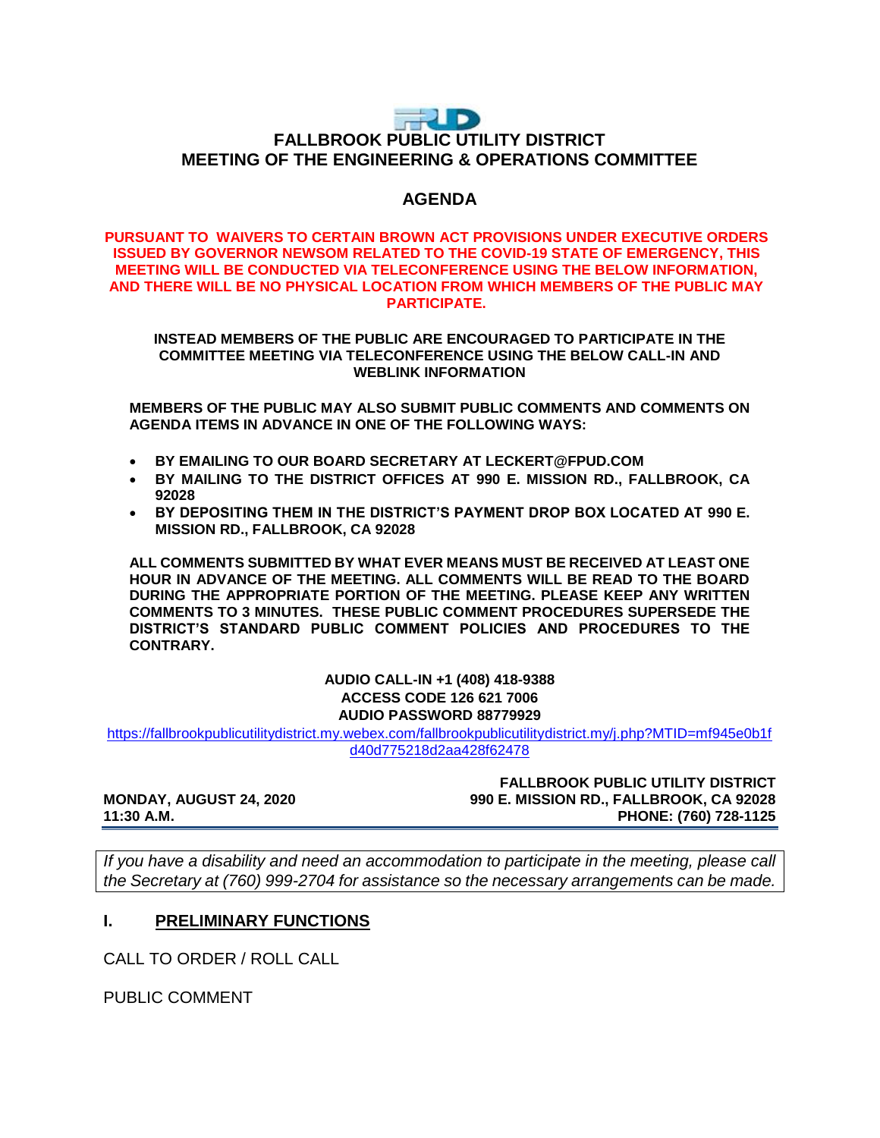# RID **FALLBROOK PUBLIC UTILITY DISTRICT MEETING OF THE ENGINEERING & OPERATIONS COMMITTEE**

# **AGENDA**

#### **PURSUANT TO WAIVERS TO CERTAIN BROWN ACT PROVISIONS UNDER EXECUTIVE ORDERS ISSUED BY GOVERNOR NEWSOM RELATED TO THE COVID-19 STATE OF EMERGENCY, THIS MEETING WILL BE CONDUCTED VIA TELECONFERENCE USING THE BELOW INFORMATION, AND THERE WILL BE NO PHYSICAL LOCATION FROM WHICH MEMBERS OF THE PUBLIC MAY PARTICIPATE.**

#### **INSTEAD MEMBERS OF THE PUBLIC ARE ENCOURAGED TO PARTICIPATE IN THE COMMITTEE MEETING VIA TELECONFERENCE USING THE BELOW CALL-IN AND WEBLINK INFORMATION**

**MEMBERS OF THE PUBLIC MAY ALSO SUBMIT PUBLIC COMMENTS AND COMMENTS ON AGENDA ITEMS IN ADVANCE IN ONE OF THE FOLLOWING WAYS:**

- **BY EMAILING TO OUR BOARD SECRETARY AT LECKERT@FPUD.COM**
- **BY MAILING TO THE DISTRICT OFFICES AT 990 E. MISSION RD., FALLBROOK, CA 92028**
- **BY DEPOSITING THEM IN THE DISTRICT'S PAYMENT DROP BOX LOCATED AT 990 E. MISSION RD., FALLBROOK, CA 92028**

**ALL COMMENTS SUBMITTED BY WHAT EVER MEANS MUST BE RECEIVED AT LEAST ONE HOUR IN ADVANCE OF THE MEETING. ALL COMMENTS WILL BE READ TO THE BOARD DURING THE APPROPRIATE PORTION OF THE MEETING. PLEASE KEEP ANY WRITTEN COMMENTS TO 3 MINUTES. THESE PUBLIC COMMENT PROCEDURES SUPERSEDE THE DISTRICT'S STANDARD PUBLIC COMMENT POLICIES AND PROCEDURES TO THE CONTRARY.**

#### **AUDIO CALL-IN +1 (408) 418-9388 ACCESS CODE 126 621 7006 AUDIO PASSWORD 88779929**

[https://fallbrookpublicutilitydistrict.my.webex.com/fallbrookpublicutilitydistrict.my/j.php?MTID=mf945e0b1f](https://fallbrookpublicutilitydistrict.my.webex.com/fallbrookpublicutilitydistrict.my/j.php?MTID=mf945e0b1fd40d775218d2aa428f62478) [d40d775218d2aa428f62478](https://fallbrookpublicutilitydistrict.my.webex.com/fallbrookpublicutilitydistrict.my/j.php?MTID=mf945e0b1fd40d775218d2aa428f62478)

#### **FALLBROOK PUBLIC UTILITY DISTRICT MONDAY, AUGUST 24, 2020 990 E. MISSION RD., FALLBROOK, CA 92028 11:30 A.M. PHONE: (760) 728-1125**

*If you have a disability and need an accommodation to participate in the meeting, please call the Secretary at (760) 999-2704 for assistance so the necessary arrangements can be made.* 

### **I. PRELIMINARY FUNCTIONS**

CALL TO ORDER / ROLL CALL

PUBLIC COMMENT